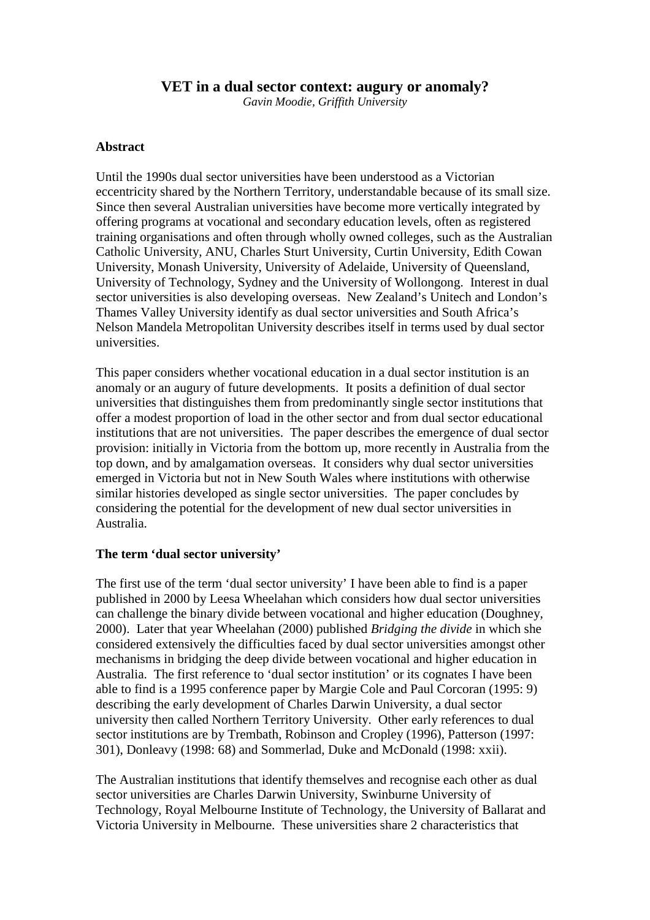# **VET in a dual sector context: augury or anomaly?**

*Gavin Moodie, Griffith University* 

#### **Abstract**

Until the 1990s dual sector universities have been understood as a Victorian eccentricity shared by the Northern Territory, understandable because of its small size. Since then several Australian universities have become more vertically integrated by offering programs at vocational and secondary education levels, often as registered training organisations and often through wholly owned colleges, such as the Australian Catholic University, ANU, Charles Sturt University, Curtin University, Edith Cowan University, Monash University, University of Adelaide, University of Queensland, University of Technology, Sydney and the University of Wollongong. Interest in dual sector universities is also developing overseas. New Zealand's Unitech and London's Thames Valley University identify as dual sector universities and South Africa's Nelson Mandela Metropolitan University describes itself in terms used by dual sector universities.

This paper considers whether vocational education in a dual sector institution is an anomaly or an augury of future developments. It posits a definition of dual sector universities that distinguishes them from predominantly single sector institutions that offer a modest proportion of load in the other sector and from dual sector educational institutions that are not universities. The paper describes the emergence of dual sector provision: initially in Victoria from the bottom up, more recently in Australia from the top down, and by amalgamation overseas. It considers why dual sector universities emerged in Victoria but not in New South Wales where institutions with otherwise similar histories developed as single sector universities. The paper concludes by considering the potential for the development of new dual sector universities in Australia.

## **The term 'dual sector university'**

The first use of the term 'dual sector university' I have been able to find is a paper published in 2000 by Leesa Wheelahan which considers how dual sector universities can challenge the binary divide between vocational and higher education (Doughney, 2000). Later that year Wheelahan (2000) published *Bridging the divide* in which she considered extensively the difficulties faced by dual sector universities amongst other mechanisms in bridging the deep divide between vocational and higher education in Australia. The first reference to 'dual sector institution' or its cognates I have been able to find is a 1995 conference paper by Margie Cole and Paul Corcoran (1995: 9) describing the early development of Charles Darwin University, a dual sector university then called Northern Territory University. Other early references to dual sector institutions are by Trembath, Robinson and Cropley (1996), Patterson (1997: 301), Donleavy (1998: 68) and Sommerlad, Duke and McDonald (1998: xxii).

The Australian institutions that identify themselves and recognise each other as dual sector universities are Charles Darwin University, Swinburne University of Technology, Royal Melbourne Institute of Technology, the University of Ballarat and Victoria University in Melbourne. These universities share 2 characteristics that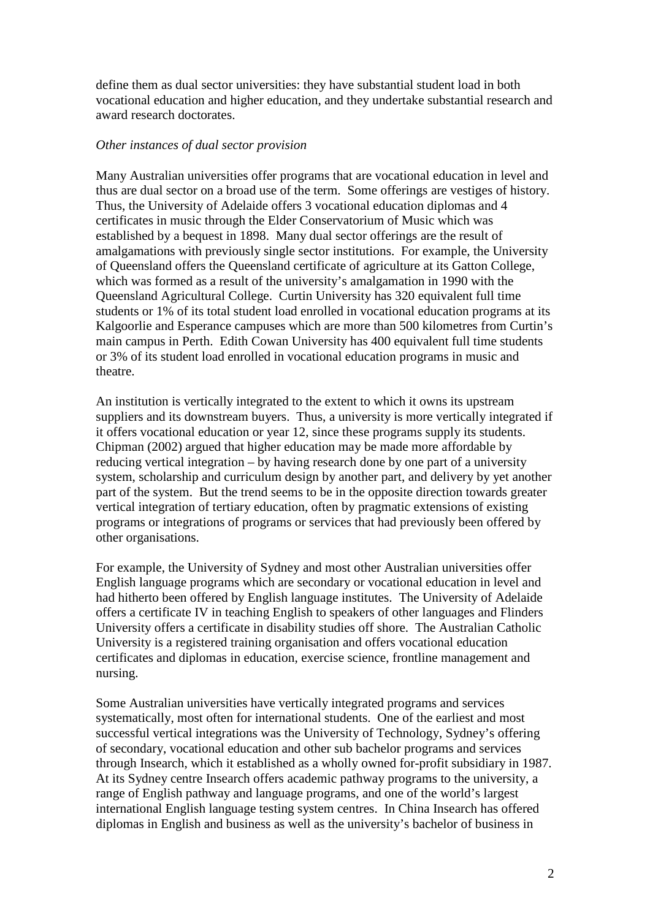define them as dual sector universities: they have substantial student load in both vocational education and higher education, and they undertake substantial research and award research doctorates.

#### *Other instances of dual sector provision*

Many Australian universities offer programs that are vocational education in level and thus are dual sector on a broad use of the term. Some offerings are vestiges of history. Thus, the University of Adelaide offers 3 vocational education diplomas and 4 certificates in music through the Elder Conservatorium of Music which was established by a bequest in 1898. Many dual sector offerings are the result of amalgamations with previously single sector institutions. For example, the University of Queensland offers the Queensland certificate of agriculture at its Gatton College, which was formed as a result of the university's amalgamation in 1990 with the Queensland Agricultural College. Curtin University has 320 equivalent full time students or 1% of its total student load enrolled in vocational education programs at its Kalgoorlie and Esperance campuses which are more than 500 kilometres from Curtin's main campus in Perth. Edith Cowan University has 400 equivalent full time students or 3% of its student load enrolled in vocational education programs in music and theatre.

An institution is vertically integrated to the extent to which it owns its upstream suppliers and its downstream buyers. Thus, a university is more vertically integrated if it offers vocational education or year 12, since these programs supply its students. Chipman (2002) argued that higher education may be made more affordable by reducing vertical integration – by having research done by one part of a university system, scholarship and curriculum design by another part, and delivery by yet another part of the system. But the trend seems to be in the opposite direction towards greater vertical integration of tertiary education, often by pragmatic extensions of existing programs or integrations of programs or services that had previously been offered by other organisations.

For example, the University of Sydney and most other Australian universities offer English language programs which are secondary or vocational education in level and had hitherto been offered by English language institutes. The University of Adelaide offers a certificate IV in teaching English to speakers of other languages and Flinders University offers a certificate in disability studies off shore. The Australian Catholic University is a registered training organisation and offers vocational education certificates and diplomas in education, exercise science, frontline management and nursing.

Some Australian universities have vertically integrated programs and services systematically, most often for international students. One of the earliest and most successful vertical integrations was the University of Technology, Sydney's offering of secondary, vocational education and other sub bachelor programs and services through Insearch, which it established as a wholly owned for-profit subsidiary in 1987. At its Sydney centre Insearch offers academic pathway programs to the university, a range of English pathway and language programs, and one of the world's largest international English language testing system centres. In China Insearch has offered diplomas in English and business as well as the university's bachelor of business in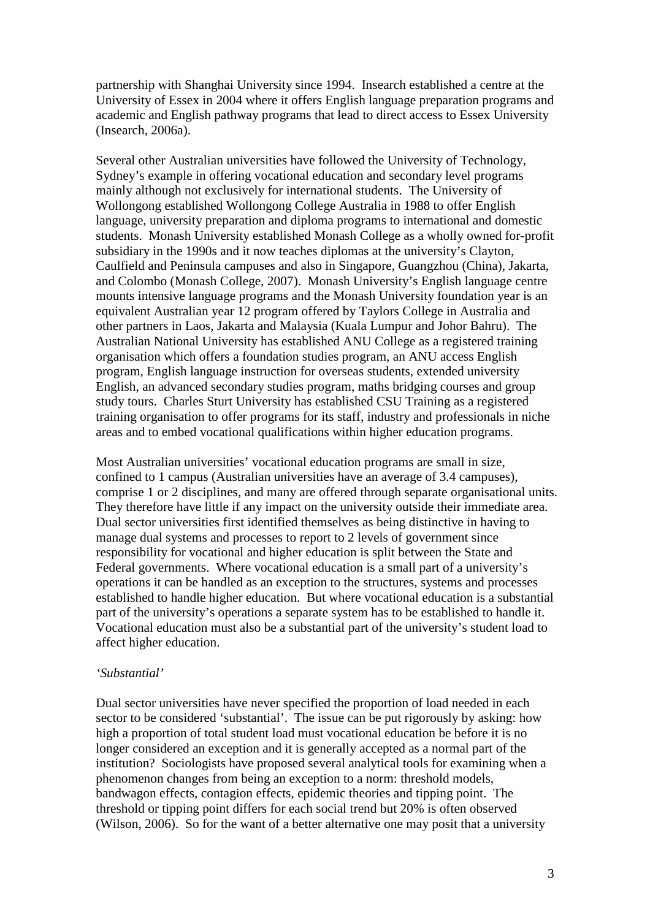partnership with Shanghai University since 1994. Insearch established a centre at the University of Essex in 2004 where it offers English language preparation programs and academic and English pathway programs that lead to direct access to Essex University (Insearch, 2006a).

Several other Australian universities have followed the University of Technology, Sydney's example in offering vocational education and secondary level programs mainly although not exclusively for international students. The University of Wollongong established Wollongong College Australia in 1988 to offer English language, university preparation and diploma programs to international and domestic students. Monash University established Monash College as a wholly owned for-profit subsidiary in the 1990s and it now teaches diplomas at the university's Clayton, Caulfield and Peninsula campuses and also in Singapore, Guangzhou (China), Jakarta, and Colombo (Monash College, 2007). Monash University's English language centre mounts intensive language programs and the Monash University foundation year is an equivalent Australian year 12 program offered by Taylors College in Australia and other partners in Laos, Jakarta and Malaysia (Kuala Lumpur and Johor Bahru). The Australian National University has established ANU College as a registered training organisation which offers a foundation studies program, an ANU access English program, English language instruction for overseas students, extended university English, an advanced secondary studies program, maths bridging courses and group study tours. Charles Sturt University has established CSU Training as a registered training organisation to offer programs for its staff, industry and professionals in niche areas and to embed vocational qualifications within higher education programs.

Most Australian universities' vocational education programs are small in size, confined to 1 campus (Australian universities have an average of 3.4 campuses), comprise 1 or 2 disciplines, and many are offered through separate organisational units. They therefore have little if any impact on the university outside their immediate area. Dual sector universities first identified themselves as being distinctive in having to manage dual systems and processes to report to 2 levels of government since responsibility for vocational and higher education is split between the State and Federal governments. Where vocational education is a small part of a university's operations it can be handled as an exception to the structures, systems and processes established to handle higher education. But where vocational education is a substantial part of the university's operations a separate system has to be established to handle it. Vocational education must also be a substantial part of the university's student load to affect higher education.

## *'Substantial'*

Dual sector universities have never specified the proportion of load needed in each sector to be considered 'substantial'. The issue can be put rigorously by asking: how high a proportion of total student load must vocational education be before it is no longer considered an exception and it is generally accepted as a normal part of the institution? Sociologists have proposed several analytical tools for examining when a phenomenon changes from being an exception to a norm: threshold models, bandwagon effects, contagion effects, epidemic theories and tipping point. The threshold or tipping point differs for each social trend but 20% is often observed (Wilson, 2006). So for the want of a better alternative one may posit that a university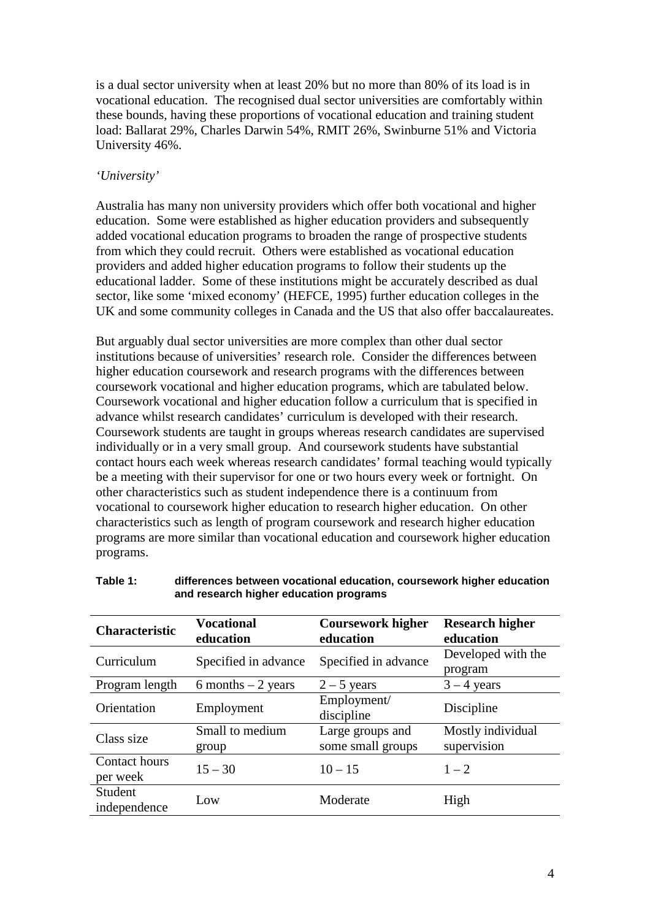is a dual sector university when at least 20% but no more than 80% of its load is in vocational education. The recognised dual sector universities are comfortably within these bounds, having these proportions of vocational education and training student load: Ballarat 29%, Charles Darwin 54%, RMIT 26%, Swinburne 51% and Victoria University 46%.

# *'University'*

Australia has many non university providers which offer both vocational and higher education. Some were established as higher education providers and subsequently added vocational education programs to broaden the range of prospective students from which they could recruit. Others were established as vocational education providers and added higher education programs to follow their students up the educational ladder. Some of these institutions might be accurately described as dual sector, like some 'mixed economy' (HEFCE, 1995) further education colleges in the UK and some community colleges in Canada and the US that also offer baccalaureates.

But arguably dual sector universities are more complex than other dual sector institutions because of universities' research role. Consider the differences between higher education coursework and research programs with the differences between coursework vocational and higher education programs, which are tabulated below. Coursework vocational and higher education follow a curriculum that is specified in advance whilst research candidates' curriculum is developed with their research. Coursework students are taught in groups whereas research candidates are supervised individually or in a very small group. And coursework students have substantial contact hours each week whereas research candidates' formal teaching would typically be a meeting with their supervisor for one or two hours every week or fortnight. On other characteristics such as student independence there is a continuum from vocational to coursework higher education to research higher education. On other characteristics such as length of program coursework and research higher education programs are more similar than vocational education and coursework higher education programs.

|                           | <b>Vocational</b>        | <b>Coursework higher</b>              | <b>Research higher</b><br>education |  |
|---------------------------|--------------------------|---------------------------------------|-------------------------------------|--|
| <b>Characteristic</b>     | education                | education                             |                                     |  |
| Curriculum                | Specified in advance     | Specified in advance                  | Developed with the<br>program       |  |
| Program length            | 6 months $-2$ years      | $2 - 5$ years                         | $3 - 4$ years                       |  |
| Orientation               | Employment               | Employment/<br>discipline             | Discipline                          |  |
| Class size                | Small to medium<br>group | Large groups and<br>some small groups | Mostly individual<br>supervision    |  |
| Contact hours<br>per week | $15 - 30$                | $10 - 15$                             | $1 - 2$                             |  |
| Student<br>independence   | Low                      | Moderate                              | High                                |  |

#### **Table 1: differences between vocational education, coursework higher education and research higher education programs**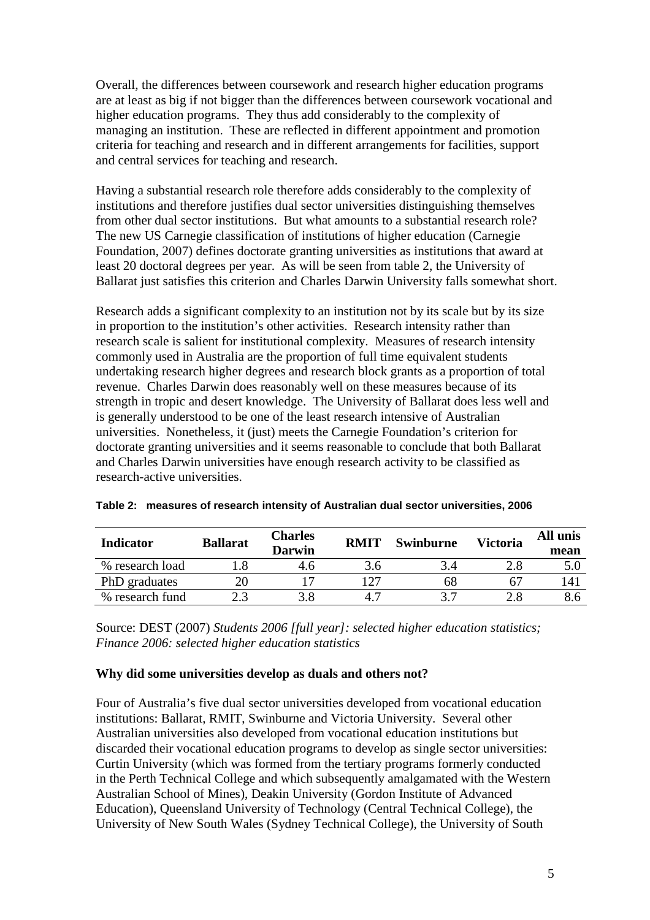Overall, the differences between coursework and research higher education programs are at least as big if not bigger than the differences between coursework vocational and higher education programs. They thus add considerably to the complexity of managing an institution. These are reflected in different appointment and promotion criteria for teaching and research and in different arrangements for facilities, support and central services for teaching and research.

Having a substantial research role therefore adds considerably to the complexity of institutions and therefore justifies dual sector universities distinguishing themselves from other dual sector institutions. But what amounts to a substantial research role? The new US Carnegie classification of institutions of higher education (Carnegie Foundation, 2007) defines doctorate granting universities as institutions that award at least 20 doctoral degrees per year. As will be seen from table 2, the University of Ballarat just satisfies this criterion and Charles Darwin University falls somewhat short.

Research adds a significant complexity to an institution not by its scale but by its size in proportion to the institution's other activities. Research intensity rather than research scale is salient for institutional complexity. Measures of research intensity commonly used in Australia are the proportion of full time equivalent students undertaking research higher degrees and research block grants as a proportion of total revenue. Charles Darwin does reasonably well on these measures because of its strength in tropic and desert knowledge. The University of Ballarat does less well and is generally understood to be one of the least research intensive of Australian universities. Nonetheless, it (just) meets the Carnegie Foundation's criterion for doctorate granting universities and it seems reasonable to conclude that both Ballarat and Charles Darwin universities have enough research activity to be classified as research-active universities.

| <b>Indicator</b> | <b>Ballarat</b> | <b>Charles</b><br>Darwin | <b>RMIT</b> | Swinburne | <b>Victoria</b> | All unis<br>mean |
|------------------|-----------------|--------------------------|-------------|-----------|-----------------|------------------|
| % research load  |                 | 4.0                      |             |           |                 |                  |
| PhD graduates    | 20              |                          | 127         | 68        |                 | 141              |
| % research fund  |                 |                          |             |           |                 |                  |

| Table 2: measures of research intensity of Australian dual sector universities, 2006 |
|--------------------------------------------------------------------------------------|
|--------------------------------------------------------------------------------------|

Source: DEST (2007) *Students 2006 [full year]: selected higher education statistics; Finance 2006: selected higher education statistics*

## **Why did some universities develop as duals and others not?**

Four of Australia's five dual sector universities developed from vocational education institutions: Ballarat, RMIT, Swinburne and Victoria University. Several other Australian universities also developed from vocational education institutions but discarded their vocational education programs to develop as single sector universities: Curtin University (which was formed from the tertiary programs formerly conducted in the Perth Technical College and which subsequently amalgamated with the Western Australian School of Mines), Deakin University (Gordon Institute of Advanced Education), Queensland University of Technology (Central Technical College), the University of New South Wales (Sydney Technical College), the University of South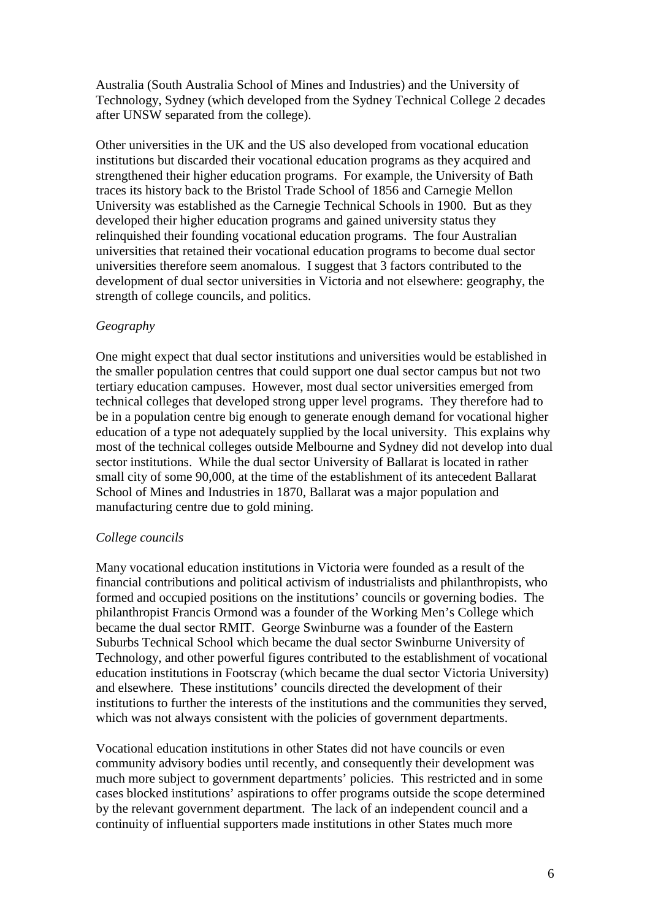Australia (South Australia School of Mines and Industries) and the University of Technology, Sydney (which developed from the Sydney Technical College 2 decades after UNSW separated from the college).

Other universities in the UK and the US also developed from vocational education institutions but discarded their vocational education programs as they acquired and strengthened their higher education programs. For example, the University of Bath traces its history back to the Bristol Trade School of 1856 and Carnegie Mellon University was established as the Carnegie Technical Schools in 1900. But as they developed their higher education programs and gained university status they relinquished their founding vocational education programs. The four Australian universities that retained their vocational education programs to become dual sector universities therefore seem anomalous. I suggest that 3 factors contributed to the development of dual sector universities in Victoria and not elsewhere: geography, the strength of college councils, and politics.

# *Geography*

One might expect that dual sector institutions and universities would be established in the smaller population centres that could support one dual sector campus but not two tertiary education campuses. However, most dual sector universities emerged from technical colleges that developed strong upper level programs. They therefore had to be in a population centre big enough to generate enough demand for vocational higher education of a type not adequately supplied by the local university. This explains why most of the technical colleges outside Melbourne and Sydney did not develop into dual sector institutions. While the dual sector University of Ballarat is located in rather small city of some 90,000, at the time of the establishment of its antecedent Ballarat School of Mines and Industries in 1870, Ballarat was a major population and manufacturing centre due to gold mining.

# *College councils*

Many vocational education institutions in Victoria were founded as a result of the financial contributions and political activism of industrialists and philanthropists, who formed and occupied positions on the institutions' councils or governing bodies. The philanthropist Francis Ormond was a founder of the Working Men's College which became the dual sector RMIT. George Swinburne was a founder of the Eastern Suburbs Technical School which became the dual sector Swinburne University of Technology, and other powerful figures contributed to the establishment of vocational education institutions in Footscray (which became the dual sector Victoria University) and elsewhere. These institutions' councils directed the development of their institutions to further the interests of the institutions and the communities they served, which was not always consistent with the policies of government departments.

Vocational education institutions in other States did not have councils or even community advisory bodies until recently, and consequently their development was much more subject to government departments' policies. This restricted and in some cases blocked institutions' aspirations to offer programs outside the scope determined by the relevant government department. The lack of an independent council and a continuity of influential supporters made institutions in other States much more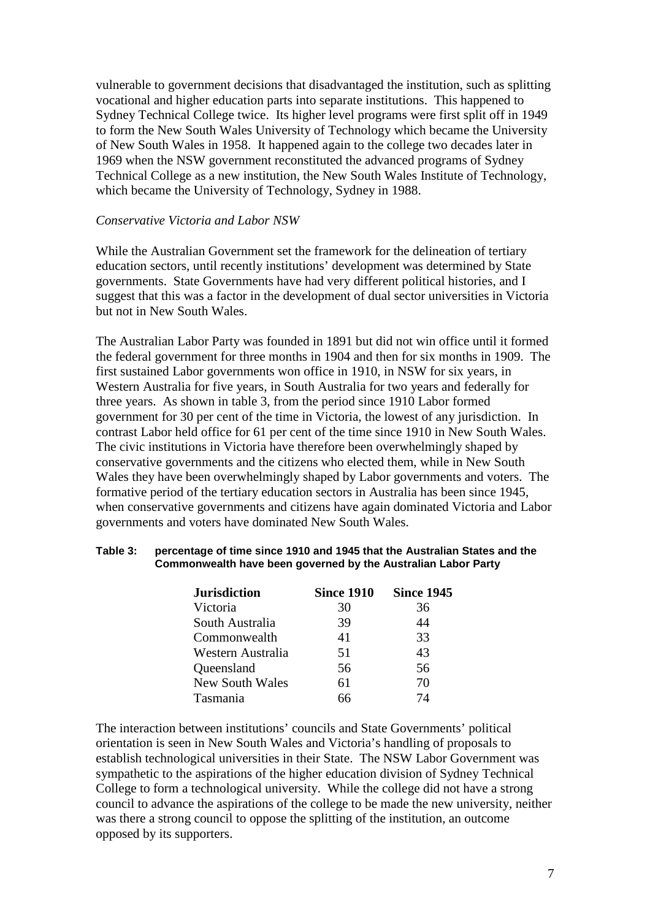vulnerable to government decisions that disadvantaged the institution, such as splitting vocational and higher education parts into separate institutions. This happened to Sydney Technical College twice. Its higher level programs were first split off in 1949 to form the New South Wales University of Technology which became the University of New South Wales in 1958. It happened again to the college two decades later in 1969 when the NSW government reconstituted the advanced programs of Sydney Technical College as a new institution, the New South Wales Institute of Technology, which became the University of Technology, Sydney in 1988.

#### *Conservative Victoria and Labor NSW*

While the Australian Government set the framework for the delineation of tertiary education sectors, until recently institutions' development was determined by State governments. State Governments have had very different political histories, and I suggest that this was a factor in the development of dual sector universities in Victoria but not in New South Wales.

The Australian Labor Party was founded in 1891 but did not win office until it formed the federal government for three months in 1904 and then for six months in 1909. The first sustained Labor governments won office in 1910, in NSW for six years, in Western Australia for five years, in South Australia for two years and federally for three years. As shown in table 3, from the period since 1910 Labor formed government for 30 per cent of the time in Victoria, the lowest of any jurisdiction. In contrast Labor held office for 61 per cent of the time since 1910 in New South Wales. The civic institutions in Victoria have therefore been overwhelmingly shaped by conservative governments and the citizens who elected them, while in New South Wales they have been overwhelmingly shaped by Labor governments and voters. The formative period of the tertiary education sectors in Australia has been since 1945, when conservative governments and citizens have again dominated Victoria and Labor governments and voters have dominated New South Wales.

#### **Table 3: percentage of time since 1910 and 1945 that the Australian States and the Commonwealth have been governed by the Australian Labor Party**

| <b>Jurisdiction</b>    | <b>Since 1910</b> | <b>Since 1945</b> |  |
|------------------------|-------------------|-------------------|--|
| Victoria               | 30                | 36                |  |
| South Australia        | 39                | 44                |  |
| Commonwealth           | 41                | 33                |  |
| Western Australia      | 51                | 43                |  |
| Queensland             | 56                | 56                |  |
| <b>New South Wales</b> | 61                | 70                |  |
| Tasmania               |                   | 74                |  |

The interaction between institutions' councils and State Governments' political orientation is seen in New South Wales and Victoria's handling of proposals to establish technological universities in their State. The NSW Labor Government was sympathetic to the aspirations of the higher education division of Sydney Technical College to form a technological university. While the college did not have a strong council to advance the aspirations of the college to be made the new university, neither was there a strong council to oppose the splitting of the institution, an outcome opposed by its supporters.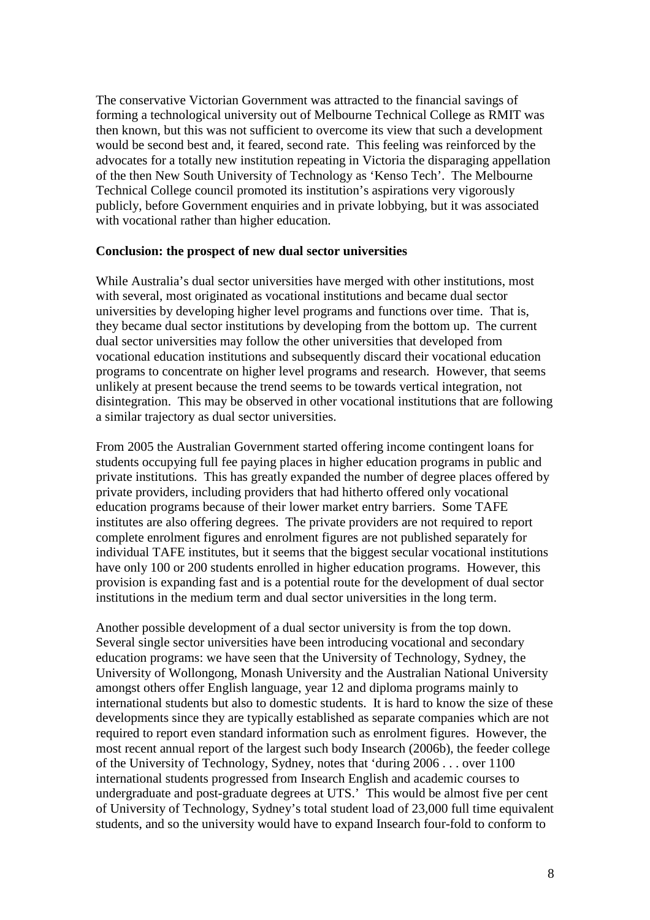The conservative Victorian Government was attracted to the financial savings of forming a technological university out of Melbourne Technical College as RMIT was then known, but this was not sufficient to overcome its view that such a development would be second best and, it feared, second rate. This feeling was reinforced by the advocates for a totally new institution repeating in Victoria the disparaging appellation of the then New South University of Technology as 'Kenso Tech'. The Melbourne Technical College council promoted its institution's aspirations very vigorously publicly, before Government enquiries and in private lobbying, but it was associated with vocational rather than higher education.

#### **Conclusion: the prospect of new dual sector universities**

While Australia's dual sector universities have merged with other institutions, most with several, most originated as vocational institutions and became dual sector universities by developing higher level programs and functions over time. That is, they became dual sector institutions by developing from the bottom up. The current dual sector universities may follow the other universities that developed from vocational education institutions and subsequently discard their vocational education programs to concentrate on higher level programs and research. However, that seems unlikely at present because the trend seems to be towards vertical integration, not disintegration. This may be observed in other vocational institutions that are following a similar trajectory as dual sector universities.

From 2005 the Australian Government started offering income contingent loans for students occupying full fee paying places in higher education programs in public and private institutions. This has greatly expanded the number of degree places offered by private providers, including providers that had hitherto offered only vocational education programs because of their lower market entry barriers. Some TAFE institutes are also offering degrees. The private providers are not required to report complete enrolment figures and enrolment figures are not published separately for individual TAFE institutes, but it seems that the biggest secular vocational institutions have only 100 or 200 students enrolled in higher education programs. However, this provision is expanding fast and is a potential route for the development of dual sector institutions in the medium term and dual sector universities in the long term.

Another possible development of a dual sector university is from the top down. Several single sector universities have been introducing vocational and secondary education programs: we have seen that the University of Technology, Sydney, the University of Wollongong, Monash University and the Australian National University amongst others offer English language, year 12 and diploma programs mainly to international students but also to domestic students. It is hard to know the size of these developments since they are typically established as separate companies which are not required to report even standard information such as enrolment figures. However, the most recent annual report of the largest such body Insearch (2006b), the feeder college of the University of Technology, Sydney, notes that 'during 2006 . . . over 1100 international students progressed from Insearch English and academic courses to undergraduate and post-graduate degrees at UTS.' This would be almost five per cent of University of Technology, Sydney's total student load of 23,000 full time equivalent students, and so the university would have to expand Insearch four-fold to conform to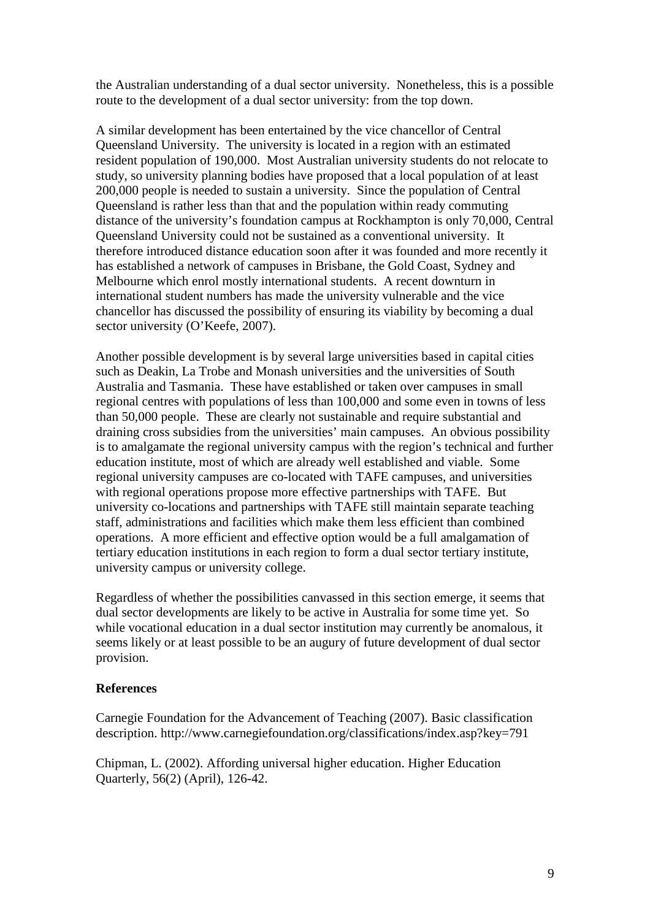the Australian understanding of a dual sector university. Nonetheless, this is a possible route to the development of a dual sector university: from the top down.

A similar development has been entertained by the vice chancellor of Central Queensland University. The university is located in a region with an estimated resident population of 190,000. Most Australian university students do not relocate to study, so university planning bodies have proposed that a local population of at least 200,000 people is needed to sustain a university. Since the population of Central Queensland is rather less than that and the population within ready commuting distance of the university's foundation campus at Rockhampton is only 70,000, Central Queensland University could not be sustained as a conventional university. It therefore introduced distance education soon after it was founded and more recently it has established a network of campuses in Brisbane, the Gold Coast, Sydney and Melbourne which enrol mostly international students. A recent downturn in international student numbers has made the university vulnerable and the vice chancellor has discussed the possibility of ensuring its viability by becoming a dual sector university (O'Keefe, 2007).

Another possible development is by several large universities based in capital cities such as Deakin, La Trobe and Monash universities and the universities of South Australia and Tasmania. These have established or taken over campuses in small regional centres with populations of less than 100,000 and some even in towns of less than 50,000 people. These are clearly not sustainable and require substantial and draining cross subsidies from the universities' main campuses. An obvious possibility is to amalgamate the regional university campus with the region's technical and further education institute, most of which are already well established and viable. Some regional university campuses are co-located with TAFE campuses, and universities with regional operations propose more effective partnerships with TAFE. But university co-locations and partnerships with TAFE still maintain separate teaching staff, administrations and facilities which make them less efficient than combined operations. A more efficient and effective option would be a full amalgamation of tertiary education institutions in each region to form a dual sector tertiary institute, university campus or university college.

Regardless of whether the possibilities canvassed in this section emerge, it seems that dual sector developments are likely to be active in Australia for some time yet. So while vocational education in a dual sector institution may currently be anomalous, it seems likely or at least possible to be an augury of future development of dual sector provision.

## **References**

Carnegie Foundation for the Advancement of Teaching (2007). Basic classification description. http://www.carnegiefoundation.org/classifications/index.asp?key=791

Chipman, L. (2002). Affording universal higher education. Higher Education Quarterly, 56(2) (April), 126-42.